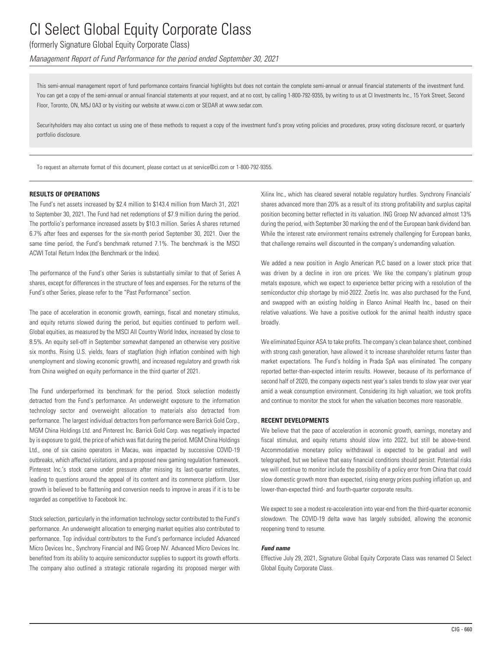### (formerly Signature Global Equity Corporate Class)

*Management Report of Fund Performance for the period ended September 30, 2021*

This semi-annual management report of fund performance contains financial highlights but does not contain the complete semi-annual or annual financial statements of the investment fund. You can get a copy of the semi-annual or annual financial statements at your request, and at no cost, by calling 1-800-792-9355, by writing to us at CI Investments Inc., 15 York Street, Second Floor, Toronto, ON, M5J 0A3 or by visiting our website at www.ci.com or SEDAR at www.sedar.com.

Securityholders may also contact us using one of these methods to request a copy of the investment fund's proxy voting policies and procedures, proxy voting disclosure record, or quarterly portfolio disclosure.

To request an alternate format of this document, please contact us at service@ci.com or 1-800-792-9355.

#### **RESULTS OF OPERATIONS**

The Fund's net assets increased by \$2.4 million to \$143.4 million from March 31, 2021 to September 30, 2021. The Fund had net redemptions of \$7.9 million during the period. The portfolio's performance increased assets by \$10.3 million. Series A shares returned 6.7% after fees and expenses for the six-month period September 30, 2021. Over the same time period, the Fund's benchmark returned 7.1%. The benchmark is the MSCI ACWI Total Return Index (the Benchmark or the Index).

The performance of the Fund's other Series is substantially similar to that of Series A shares, except for differences in the structure of fees and expenses. For the returns of the Fund's other Series, please refer to the "Past Performance" section.

The pace of acceleration in economic growth, earnings, fiscal and monetary stimulus, and equity returns slowed during the period, but equities continued to perform well. Global equities, as measured by the MSCI All Country World Index, increased by close to 8.5%. An equity sell-off in September somewhat dampened an otherwise very positive six months. Rising U.S. yields, fears of stagflation (high inflation combined with high unemployment and slowing economic growth), and increased regulatory and growth risk from China weighed on equity performance in the third quarter of 2021.

The Fund underperformed its benchmark for the period. Stock selection modestly detracted from the Fund's performance. An underweight exposure to the information technology sector and overweight allocation to materials also detracted from performance. The largest individual detractors from performance were Barrick Gold Corp., MGM China Holdings Ltd. and Pinterest Inc. Barrick Gold Corp. was negatively impacted by is exposure to gold, the price of which was flat during the period. MGM China Holdings Ltd., one of six casino operators in Macau, was impacted by successive COVID-19 outbreaks, which affected visitations, and a proposed new gaming regulation framework. Pinterest Inc.'s stock came under pressure after missing its last-quarter estimates, leading to questions around the appeal of its content and its commerce platform. User growth is believed to be flattening and conversion needs to improve in areas if it is to be regarded as competitive to Facebook Inc.

Stock selection, particularly in the information technology sector contributed to the Fund's performance. An underweight allocation to emerging market equities also contributed to performance. Top individual contributors to the Fund's performance included Advanced Micro Devices Inc., Synchrony Financial and ING Groep NV. Advanced Micro Devices Inc. benefited from its ability to acquire semiconductor supplies to support its growth efforts. The company also outlined a strategic rationale regarding its proposed merger with Xilinx Inc., which has cleared several notable regulatory hurdles. Synchrony Financials' shares advanced more than 20% as a result of its strong profitability and surplus capital position becoming better reflected in its valuation. ING Groep NV advanced almost 13% during the period, with September 30 marking the end of the European bank dividend ban. While the interest rate environment remains extremely challenging for European banks, that challenge remains well discounted in the company's undemanding valuation.

We added a new position in Anglo American PLC based on a lower stock price that was driven by a decline in iron ore prices. We like the company's platinum group metals exposure, which we expect to experience better pricing with a resolution of the semiconductor chip shortage by mid-2022. Zoetis Inc. was also purchased for the Fund, and swapped with an existing holding in Elanco Animal Health Inc., based on their relative valuations. We have a positive outlook for the animal health industry space broadly.

We eliminated Equinor ASA to take profits. The company's clean balance sheet, combined with strong cash generation, have allowed it to increase shareholder returns faster than market expectations. The Fund's holding in Prada SpA was eliminated. The company reported better-than-expected interim results. However, because of its performance of second half of 2020, the company expects nest year's sales trends to slow year over year amid a weak consumption environment. Considering its high valuation, we took profits and continue to monitor the stock for when the valuation becomes more reasonable.

#### **RECENT DEVELOPMENTS**

We believe that the pace of acceleration in economic growth, earnings, monetary and fiscal stimulus, and equity returns should slow into 2022, but still be above-trend. Accommodative monetary policy withdrawal is expected to be gradual and well telegraphed, but we believe that easy financial conditions should persist. Potential risks we will continue to monitor include the possibility of a policy error from China that could slow domestic growth more than expected, rising energy prices pushing inflation up, and lower-than-expected third- and fourth-quarter corporate results.

We expect to see a modest re-acceleration into year-end from the third-quarter economic slowdown. The COVID-19 delta wave has largely subsided, allowing the economic reopening trend to resume.

#### *Fund name*

Effective July 29, 2021, Signature Global Equity Corporate Class was renamed CI Select Global Equity Corporate Class.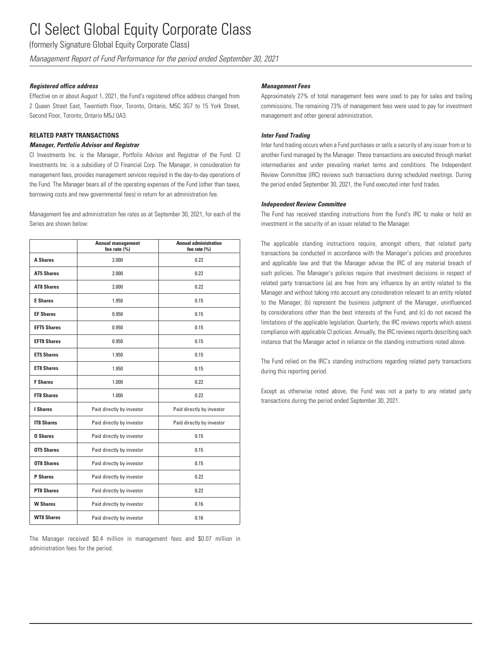(formerly Signature Global Equity Corporate Class)

*Management Report of Fund Performance for the period ended September 30, 2021*

#### *Registered office address*

Effective on or about August 1, 2021, the Fund's registered office address changed from 2 Queen Street East, Twentieth Floor, Toronto, Ontario, M5C 3G7 to 15 York Street, Second Floor, Toronto, Ontario M5J 0A3.

### **RELATED PARTY TRANSACTIONS**

#### *Manager, Portfolio Advisor and Registrar*

CI Investments Inc. is the Manager, Portfolio Advisor and Registrar of the Fund. CI Investments Inc. is a subsidiary of CI Financial Corp. The Manager, in consideration for management fees, provides management services required in the day-to-day operations of the Fund. The Manager bears all of the operating expenses of the Fund (other than taxes, borrowing costs and new governmental fees) in return for an administration fee.

Management fee and administration fee rates as at September 30, 2021, for each of the Series are shown below:

|                    | <b>Annual management</b><br>fee rate (%) | <b>Annual administration</b><br>fee rate $(% )$ |
|--------------------|------------------------------------------|-------------------------------------------------|
| <b>A Shares</b>    | 2.000                                    | 0.22                                            |
| <b>AT5 Shares</b>  | 2.000                                    | 0.22                                            |
| <b>AT8 Shares</b>  | 2.000                                    | 0.22                                            |
| <b>E</b> Shares    | 1.950                                    | 0.15                                            |
| <b>EF Shares</b>   | 0.950                                    | 0.15                                            |
| <b>EFT5 Shares</b> | 0.950                                    | 0.15                                            |
| <b>EFT8 Shares</b> | 0.950                                    | 0.15                                            |
| <b>ET5 Shares</b>  | 1.950                                    | 0.15                                            |
| <b>ET8 Shares</b>  | 1.950                                    | 0.15                                            |
| <b>F</b> Shares    | 1.000                                    | 0.22                                            |
| <b>FT8 Shares</b>  | 1.000                                    | 0.22                                            |
| I Shares           | Paid directly by investor                | Paid directly by investor                       |
| <b>IT8 Shares</b>  | Paid directly by investor                | Paid directly by investor                       |
| <b>0 Shares</b>    | Paid directly by investor                | 0.15                                            |
| <b>OT5 Shares</b>  | Paid directly by investor                | 0.15                                            |
| <b>OT8 Shares</b>  | Paid directly by investor                | 0.15                                            |
| <b>P</b> Shares    | Paid directly by investor                | 0.22                                            |
| <b>PT8 Shares</b>  | Paid directly by investor                | 0.22                                            |
| <b>W Shares</b>    | Paid directly by investor                | 0.16                                            |
| <b>WT8 Shares</b>  | Paid directly by investor                | 0.16                                            |

The Manager received \$0.4 million in management fees and \$0.07 million in administration fees for the period.

#### *Management Fees*

Approximately 27% of total management fees were used to pay for sales and trailing commissions. The remaining 73% of management fees were used to pay for investment management and other general administration.

### *Inter Fund Trading*

Inter fund trading occurs when a Fund purchases or sells a security of any issuer from or to another Fund managed by the Manager. These transactions are executed through market intermediaries and under prevailing market terms and conditions. The Independent Review Committee (IRC) reviews such transactions during scheduled meetings. During the period ended September 30, 2021, the Fund executed inter fund trades.

#### *Independent Review Committee*

The Fund has received standing instructions from the Fund's IRC to make or hold an investment in the security of an issuer related to the Manager.

The applicable standing instructions require, amongst others, that related party transactions be conducted in accordance with the Manager's policies and procedures and applicable law and that the Manager advise the IRC of any material breach of such policies. The Manager's policies require that investment decisions in respect of related party transactions (a) are free from any influence by an entity related to the Manager and without taking into account any consideration relevant to an entity related to the Manager; (b) represent the business judgment of the Manager, uninfluenced by considerations other than the best interests of the Fund; and (c) do not exceed the limitations of the applicable legislation. Quarterly, the IRC reviews reports which assess compliance with applicable CI policies. Annually, the IRC reviews reports describing each instance that the Manager acted in reliance on the standing instructions noted above.

The Fund relied on the IRC's standing instructions regarding related party transactions during this reporting period.

Except as otherwise noted above, the Fund was not a party to any related party transactions during the period ended September 30, 2021.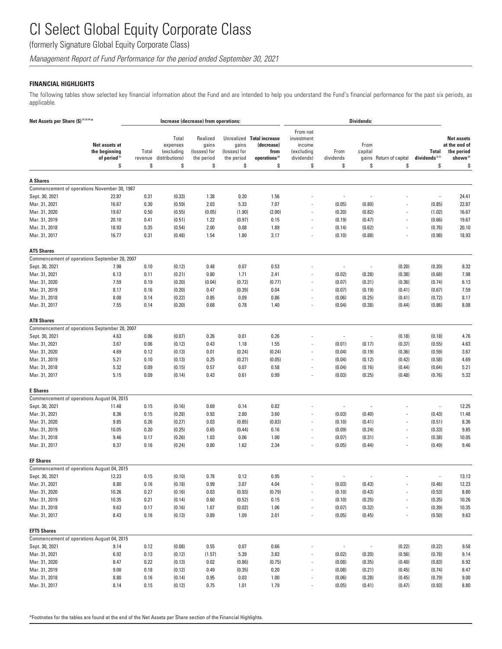(formerly Signature Global Equity Corporate Class)

*Management Report of Fund Performance for the period ended September 30, 2021*

### **FINANCIAL HIGHLIGHTS**

The following tables show selected key financial information about the Fund and are intended to help you understand the Fund's financial performance for the past six periods, as applicable.

| Net Assets per Share (\$) <sup>(1)(2)(4)*</sup>            |                                                     |                  |                                                   | Increase (decrease) from operations:            |                                     |                                                                              |                                                              | <b>Dividends:</b>        |                          |                          |                                    |                                                                          |
|------------------------------------------------------------|-----------------------------------------------------|------------------|---------------------------------------------------|-------------------------------------------------|-------------------------------------|------------------------------------------------------------------------------|--------------------------------------------------------------|--------------------------|--------------------------|--------------------------|------------------------------------|--------------------------------------------------------------------------|
| Net assets at<br>the beginning<br>of period <sup>(2)</sup> |                                                     | Total<br>revenue | Total<br>expenses<br>(excluding<br>distributions) | Realized<br>gains<br>(losses) for<br>the period | gains<br>(losses) for<br>the period | Unrealized Total increase<br>(decrease)<br>from<br>operations <sup>(2)</sup> | From net<br>investment<br>income<br>(excluding<br>dividends) | From<br>dividends        | From<br>capital<br>gains | Return of capital        | Total<br>dividends <sup>2,3)</sup> | <b>Net assets</b><br>at the end of<br>the period<br>shown <sup>(2)</sup> |
|                                                            | \$                                                  | \$               | \$                                                | \$                                              | \$                                  | \$                                                                           | \$                                                           | \$                       | \$                       | \$                       | \$                                 | \$                                                                       |
| <b>A Shares</b>                                            |                                                     |                  |                                                   |                                                 |                                     |                                                                              |                                                              |                          |                          |                          |                                    |                                                                          |
|                                                            | Commencement of operations November 30, 1987        |                  |                                                   |                                                 |                                     |                                                                              |                                                              |                          |                          |                          |                                    |                                                                          |
| Sept. 30, 2021                                             | 22.87                                               | 0.31             | (0.33)                                            | 1.38                                            | 0.20                                | 1.56                                                                         |                                                              | $\overline{\phantom{a}}$ |                          |                          | $\overline{\phantom{a}}$           | 24.41                                                                    |
| Mar. 31, 2021                                              | 16.67                                               | 0.30             | (0.59)                                            | 2.03                                            | 5.33                                | 7.07                                                                         |                                                              | (0.05)                   | (0.80)                   |                          | (0.85)                             | 22.87                                                                    |
| Mar. 31, 2020                                              | 19.67                                               | 0.50             | (0.55)                                            | (0.05)                                          | (1.90)                              | (2.00)                                                                       |                                                              | (0.20)                   | (0.82)                   |                          | (1.02)                             | 16.67                                                                    |
| Mar. 31, 2019                                              | 20.10                                               | 0.41             | (0.51)                                            | 1.22                                            | (0.97)                              | 0.15                                                                         |                                                              | (0.19)                   | (0.47)                   |                          | (0.66)                             | 19.67                                                                    |
| Mar. 31, 2018                                              | 18.93                                               | 0.35             | (0.54)                                            | 2.00                                            | 0.08                                | 1.89                                                                         |                                                              | (0.14)                   | (0.62)                   |                          | (0.76)                             | 20.10                                                                    |
| Mar. 31, 2017                                              | 16.77                                               | 0.31             | (0.48)                                            | 1.54                                            | 1.80                                | 3.17                                                                         |                                                              | (0.10)                   | (0.88)                   |                          | (0.98)                             | 18.93                                                                    |
| <b>AT5 Shares</b>                                          |                                                     |                  |                                                   |                                                 |                                     |                                                                              |                                                              |                          |                          |                          |                                    |                                                                          |
|                                                            | Commencement of operations September 28, 2007       |                  |                                                   |                                                 |                                     |                                                                              |                                                              |                          |                          |                          |                                    |                                                                          |
| Sept. 30, 2021                                             | 7.98                                                | 0.10             | (0.12)                                            | 0.48                                            | 0.07                                | 0.53                                                                         |                                                              | $\overline{\phantom{a}}$ | ÷,                       | (0.20)                   | (0.20)                             | 8.32                                                                     |
| Mar. 31, 2021                                              | 6.13                                                | 0.11             | (0.21)                                            | 0.80                                            | 1.71                                | 2.41                                                                         |                                                              | (0.02)                   | (0.28)                   | (0.38)                   | (0.68)                             | 7.98                                                                     |
| Mar. 31, 2020                                              | 7.59                                                | 0.19             | (0.20)                                            | (0.04)                                          | (0.72)                              | (0.77)                                                                       | $\overline{\phantom{a}}$                                     | (0.07)                   | (0.31)                   | (0.36)                   | (0.74)                             | 6.13                                                                     |
| Mar. 31, 2019                                              | 8.17                                                | 0.16             | (0.20)                                            | 0.47                                            | (0.39)                              | 0.04                                                                         | $\overline{\phantom{a}}$                                     | (0.07)                   | (0.19)                   | (0.41)                   | (0.67)                             | 7.59                                                                     |
| Mar. 31, 2018                                              | 8.08                                                | 0.14             | (0.22)                                            | 0.85                                            | 0.09                                | 0.86                                                                         |                                                              | (0.06)                   | (0.25)                   | (0.41)                   | (0.72)                             | 8.17                                                                     |
| Mar. 31, 2017                                              | 7.55                                                | 0.14             | (0.20)                                            | 0.68                                            | 0.78                                | 1.40                                                                         | $\overline{\phantom{a}}$                                     | (0.04)                   | (0.38)                   | (0.44)                   | (0.86)                             | 8.08                                                                     |
| <b>AT8 Shares</b>                                          |                                                     |                  |                                                   |                                                 |                                     |                                                                              |                                                              |                          |                          |                          |                                    |                                                                          |
|                                                            | Commencement of operations September 28, 2007       |                  |                                                   |                                                 |                                     |                                                                              |                                                              |                          |                          |                          |                                    |                                                                          |
| Sept. 30, 2021                                             | 4.63                                                | 0.06             | (0.07)                                            | 0.26                                            | 0.01                                | 0.26                                                                         |                                                              | $\overline{\phantom{a}}$ | ÷                        | (0.18)                   | (0.18)                             | 4.76                                                                     |
| Mar. 31, 2021                                              | 3.67                                                | 0.06             | (0.12)                                            | 0.43                                            | 1.18                                | 1.55                                                                         |                                                              | (0.01)                   | (0.17)                   | (0.37)                   | (0.55)                             | 4.63                                                                     |
| Mar. 31, 2020                                              | 4.69                                                | 0.12             | (0.13)                                            | 0.01                                            | (0.24)                              | (0.24)                                                                       |                                                              | (0.04)                   | (0.19)                   | (0.36)                   | (0.59)                             | 3.67                                                                     |
| Mar. 31, 2019                                              | 5.21                                                | 0.10             | (0.13)                                            | 0.25                                            | (0.27)                              | (0.05)                                                                       |                                                              | (0.04)                   | (0.12)                   | (0.42)                   | (0.58)                             | 4.69                                                                     |
| Mar. 31, 2018                                              | 5.32                                                | 0.09             | (0.15)                                            | 0.57                                            | 0.07                                | 0.58                                                                         |                                                              | (0.04)                   | (0.16)                   | (0.44)                   | (0.64)                             | 5.21                                                                     |
| Mar. 31, 2017                                              | 5.15                                                | 0.09             | (0.14)                                            | 0.43                                            | 0.61                                | 0.99                                                                         |                                                              | (0.03)                   | (0.25)                   | (0.48)                   | (0.76)                             | 5.32                                                                     |
| <b>E</b> Shares                                            |                                                     |                  |                                                   |                                                 |                                     |                                                                              |                                                              |                          |                          |                          |                                    |                                                                          |
|                                                            | Commencement of operations August 04, 2015          |                  |                                                   |                                                 |                                     |                                                                              |                                                              |                          |                          |                          |                                    |                                                                          |
| Sept. 30, 2021                                             | 11.48                                               | 0.15             | (0.16)                                            | 0.69                                            | 0.14                                | 0.82                                                                         |                                                              | $\overline{\phantom{a}}$ |                          |                          | $\overline{\phantom{a}}$           | 12.25                                                                    |
| Mar. 31, 2021                                              | 8.36                                                | 0.15             | (0.28)                                            | 0.93                                            | 2.80                                | 3.60                                                                         |                                                              | (0.03)                   | (0.40)                   |                          | (0.43)                             | 11.48                                                                    |
| Mar. 31, 2020                                              | 9.85                                                | 0.26             | (0.27)                                            | 0.03                                            | (0.85)                              | (0.83)                                                                       |                                                              | (0.10)                   | (0.41)                   |                          | (0.51)                             | 8.36                                                                     |
| Mar. 31, 2019                                              | 10.05                                               | 0.20             | (0.25)                                            | 0.65                                            | (0.44)                              | 0.16                                                                         |                                                              | (0.09)                   | (0.24)                   |                          | (0.33)                             | 9.85                                                                     |
| Mar. 31, 2018                                              | 9.46                                                | 0.17             | (0.26)                                            | 1.03                                            | 0.06                                | 1.00                                                                         | $\overline{\phantom{a}}$                                     | (0.07)                   | (0.31)                   | $\overline{\phantom{a}}$ | (0.38)                             | 10.05                                                                    |
| Mar. 31, 2017                                              | 8.37                                                | 0.16             | (0.24)                                            | 0.80                                            | 1.62                                | 2.34                                                                         |                                                              | (0.05)                   | (0.44)                   |                          | (0.49)                             | 9.46                                                                     |
| <b>EF Shares</b>                                           |                                                     |                  |                                                   |                                                 |                                     |                                                                              |                                                              |                          |                          |                          |                                    |                                                                          |
| Sept. 30, 2021                                             | Commencement of operations August 04, 2015<br>12.23 | 0.15             | (0.10)                                            | 0.78                                            | 0.12                                | 0.95                                                                         |                                                              |                          |                          |                          |                                    | 13.13                                                                    |
|                                                            |                                                     |                  |                                                   |                                                 |                                     |                                                                              |                                                              |                          |                          |                          |                                    | 12.23                                                                    |
| Mar. 31, 2021                                              | 8.80                                                | 0.16             | (0.18)                                            | 0.99                                            | 3.07                                | 4.04                                                                         |                                                              | (0.03)                   | (0.43)                   |                          | (0.46)                             |                                                                          |
| Mar. 31, 2020<br>Mar. 31, 2019                             | 10.26                                               | 0.27             | (0.16)                                            | 0.03                                            | (0.93)                              | (0.79)                                                                       |                                                              | (0.10)                   | (0.43)                   |                          | (0.53)                             | 8.80                                                                     |
|                                                            | 10.35                                               | 0.21             | (0.14)                                            | 0.60                                            | (0.52)                              | 0.15                                                                         |                                                              | (0.10)                   | (0.25)                   |                          | (0.35)                             | 10.26                                                                    |
| Mar. 31, 2018                                              | 9.63                                                | 0.17             | (0.16)                                            | 1.07                                            | (0.02)                              | 1.06                                                                         |                                                              | (0.07)                   | (0.32)                   |                          | (0.39)                             | 10.35                                                                    |
| Mar. 31, 2017                                              | 8.43                                                | 0.16             | (0.13)                                            | 0.89                                            | 1.09                                | 2.01                                                                         |                                                              | (0.05)                   | (0.45)                   |                          | (0.50)                             | 9.63                                                                     |
| <b>EFT5 Shares</b>                                         |                                                     |                  |                                                   |                                                 |                                     |                                                                              |                                                              |                          |                          |                          |                                    |                                                                          |
| Sept. 30, 2021                                             | Commencement of operations August 04, 2015          |                  |                                                   |                                                 |                                     |                                                                              |                                                              |                          |                          |                          |                                    |                                                                          |
|                                                            | 9.14                                                | 0.12             | (0.08)                                            | 0.55                                            | 0.07                                | 0.66                                                                         |                                                              | $\overline{\phantom{a}}$ |                          | (0.22)                   | (0.22)                             | 9.58                                                                     |
| Mar. 31, 2021                                              | 6.92                                                | 0.13             | (0.12)                                            | (1.57)                                          | 5.39                                | 3.83                                                                         |                                                              | (0.02)                   | (0.20)                   | (0.56)                   | (0.78)                             | 9.14                                                                     |
| Mar. 31, 2020                                              | 8.47                                                | 0.22             | (0.13)                                            | 0.02                                            | (0.86)                              | (0.75)                                                                       |                                                              | (0.08)                   | (0.35)                   | (0.40)                   | (0.83)                             | 6.92                                                                     |
| Mar. 31, 2019<br>Mar. 31, 2018                             | 9.00                                                | 0.18             | (0.12)                                            | 0.49                                            | (0.35)                              | 0.20                                                                         | $\overline{\phantom{a}}$                                     | (0.08)                   | (0.21)                   | (0.45)                   | (0.74)                             | 8.47                                                                     |
|                                                            | 8.80                                                | 0.16             | (0.14)                                            | 0.95                                            | 0.03                                | 1.00                                                                         |                                                              | (0.06)                   | (0.28)                   | (0.45)                   | (0.79)                             | 9.00                                                                     |
| Mar. 31, 2017                                              | 8.14                                                | 0.15             | (0.12)                                            | 0.75                                            | 1.01                                | 1.79                                                                         | $\overline{\phantom{a}}$                                     | (0.05)                   | (0.41)                   | (0.47)                   | (0.93)                             | 8.80                                                                     |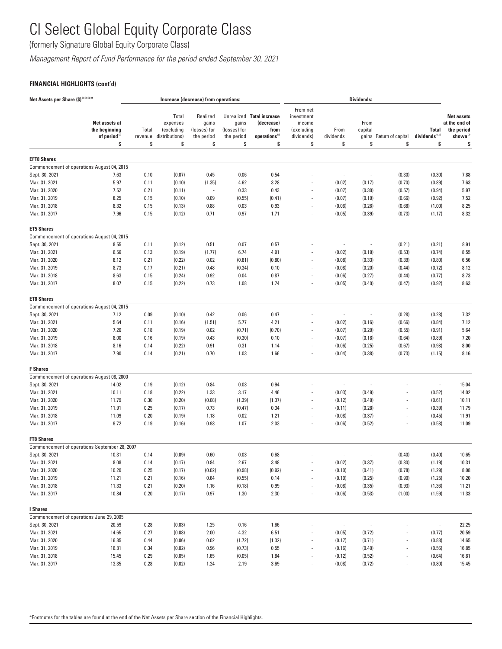(formerly Signature Global Equity Corporate Class)

*Management Report of Fund Performance for the period ended September 30, 2021*

### **FINANCIAL HIGHLIGHTS (cont'd)**

| Net Assets per Share (\$) <sup>(1)(2)(4)*</sup>      |                                                                  |                        |                                                         | Increase (decrease) from operations:                  |                                           |                                                                                    |                                                                    | <b>Dividends:</b>        |                                |                          |                                          |                                                                          |
|------------------------------------------------------|------------------------------------------------------------------|------------------------|---------------------------------------------------------|-------------------------------------------------------|-------------------------------------------|------------------------------------------------------------------------------------|--------------------------------------------------------------------|--------------------------|--------------------------------|--------------------------|------------------------------------------|--------------------------------------------------------------------------|
|                                                      | Net assets at<br>the beginning<br>of period <sup>(2)</sup><br>\$ | Total<br>revenue<br>\$ | Total<br>expenses<br>(excluding<br>distributions)<br>\$ | Realized<br>gains<br>(losses) for<br>the period<br>\$ | gains<br>(losses) for<br>the period<br>\$ | Unrealized Total increase<br>(decrease)<br>from<br>operations <sup>(2)</sup><br>\$ | From net<br>investment<br>income<br>(excluding<br>dividends)<br>\$ | From<br>dividends<br>\$  | From<br>capital<br>gains<br>\$ | Return of capital<br>\$  | <b>Total</b><br>dividends $^{2.3}$<br>\$ | <b>Net assets</b><br>at the end of<br>the period<br>shown $^{(2)}$<br>\$ |
|                                                      |                                                                  |                        |                                                         |                                                       |                                           |                                                                                    |                                                                    |                          |                                |                          |                                          |                                                                          |
| <b>EFT8 Shares</b>                                   |                                                                  |                        |                                                         |                                                       |                                           |                                                                                    |                                                                    |                          |                                |                          |                                          |                                                                          |
| Commencement of operations August 04, 2015           |                                                                  |                        |                                                         |                                                       |                                           |                                                                                    |                                                                    |                          |                                |                          |                                          |                                                                          |
| Sept. 30, 2021                                       | 7.63                                                             | 0.10                   | (0.07)                                                  | 0.45                                                  | 0.06                                      | 0.54                                                                               |                                                                    | ÷,                       |                                | (0.30)                   | (0.30)                                   | 7.88                                                                     |
| Mar. 31, 2021                                        | 5.97                                                             | 0.11                   | (0.10)                                                  | (1.35)                                                | 4.62                                      | 3.28                                                                               |                                                                    | (0.02)                   | (0.17)                         | (0.70)                   | (0.89)                                   | 7.63                                                                     |
| Mar. 31, 2020                                        | 7.52                                                             | 0.21                   | (0.11)                                                  | $\overline{\phantom{a}}$                              | 0.33                                      | 0.43                                                                               |                                                                    | (0.07)                   | (0.30)                         | (0.57)                   | (0.94)                                   | 5.97                                                                     |
| Mar. 31, 2019                                        | 8.25                                                             | 0.15                   | (0.10)                                                  | 0.09                                                  | (0.55)                                    | (0.41)                                                                             |                                                                    | (0.07)                   | (0.19)                         | (0.66)                   | (0.92)                                   | 7.52                                                                     |
| Mar. 31, 2018<br>Mar. 31, 2017                       | 8.32<br>7.96                                                     | 0.15<br>0.15           | (0.13)<br>(0.12)                                        | 0.88<br>0.71                                          | 0.03<br>0.97                              | 0.93<br>1.71                                                                       |                                                                    | (0.06)<br>(0.05)         | (0.26)<br>(0.39)               | (0.68)<br>(0.73)         | (1.00)<br>(1.17)                         | 8.25<br>8.32                                                             |
| <b>ET5 Shares</b>                                    |                                                                  |                        |                                                         |                                                       |                                           |                                                                                    |                                                                    |                          |                                |                          |                                          |                                                                          |
| Commencement of operations August 04, 2015           |                                                                  |                        |                                                         |                                                       |                                           |                                                                                    |                                                                    |                          |                                |                          |                                          |                                                                          |
| Sept. 30, 2021                                       | 8.55                                                             | 0.11                   | (0.12)                                                  | 0.51                                                  | 0.07                                      | 0.57                                                                               |                                                                    | ÷,                       |                                | (0.21)                   | (0.21)                                   | 8.91                                                                     |
| Mar. 31, 2021                                        | 6.56                                                             | 0.13                   | (0.19)                                                  | (1.77)                                                | 6.74                                      | 4.91                                                                               |                                                                    | (0.02)                   | (0.19)                         | (0.53)                   | (0.74)                                   | 8.55                                                                     |
| Mar. 31, 2020                                        | 8.12                                                             | 0.21                   | (0.22)                                                  | 0.02                                                  | (0.81)                                    | (0.80)                                                                             |                                                                    | (0.08)                   | (0.33)                         | (0.39)                   | (0.80)                                   | 6.56                                                                     |
| Mar. 31, 2019                                        | 8.73                                                             | 0.17                   | (0.21)                                                  | 0.48                                                  | (0.34)                                    | 0.10                                                                               |                                                                    | (0.08)                   | (0.20)                         | (0.44)                   | (0.72)                                   | 8.12                                                                     |
| Mar. 31, 2018                                        | 8.63                                                             | 0.15                   | (0.24)                                                  | 0.92                                                  | 0.04                                      | 0.87                                                                               |                                                                    | (0.06)                   | (0.27)                         | (0.44)                   | (0.77)                                   | 8.73                                                                     |
| Mar. 31, 2017                                        | 8.07                                                             | 0.15                   | (0.22)                                                  | 0.73                                                  | 1.08                                      | 1.74                                                                               |                                                                    | (0.05)                   | (0.40)                         | (0.47)                   | (0.92)                                   | 8.63                                                                     |
| <b>ET8 Shares</b>                                    |                                                                  |                        |                                                         |                                                       |                                           |                                                                                    |                                                                    |                          |                                |                          |                                          |                                                                          |
| Commencement of operations August 04, 2015           |                                                                  |                        |                                                         |                                                       |                                           |                                                                                    |                                                                    |                          |                                |                          |                                          |                                                                          |
| Sept. 30, 2021                                       | 7.12                                                             | 0.09                   | (0.10)                                                  | 0.42                                                  | 0.06                                      | 0.47                                                                               |                                                                    |                          | $\overline{\phantom{m}}$       | (0.28)                   | (0.28)                                   | 7.32                                                                     |
| Mar. 31, 2021                                        | 5.64                                                             | 0.11                   | (0.16)                                                  | (1.51)                                                | 5.77                                      | 4.21                                                                               |                                                                    | (0.02)                   | (0.16)                         | (0.66)                   | (0.84)                                   | 7.12                                                                     |
| Mar. 31, 2020                                        | 7.20                                                             | 0.18                   | (0.19)                                                  | 0.02                                                  | (0.71)                                    | (0.70)                                                                             |                                                                    | (0.07)                   | (0.29)                         | (0.55)                   | (0.91)                                   | 5.64                                                                     |
| Mar. 31, 2019                                        | 8.00                                                             | 0.16                   | (0.19)                                                  | 0.43                                                  | (0.30)                                    | 0.10                                                                               |                                                                    | (0.07)                   | (0.18)                         | (0.64)                   | (0.89)                                   | 7.20                                                                     |
| Mar. 31, 2018                                        | 8.16                                                             | 0.14                   | (0.22)                                                  | 0.91                                                  | 0.31                                      | 1.14                                                                               |                                                                    | (0.06)                   | (0.25)                         | (0.67)                   | (0.98)                                   | 8.00                                                                     |
| Mar. 31, 2017                                        | 7.90                                                             | 0.14                   | (0.21)                                                  | 0.70                                                  | 1.03                                      | 1.66                                                                               |                                                                    | (0.04)                   | (0.38)                         | (0.73)                   | (1.15)                                   | 8.16                                                                     |
| <b>F</b> Shares                                      |                                                                  |                        |                                                         |                                                       |                                           |                                                                                    |                                                                    |                          |                                |                          |                                          |                                                                          |
| Commencement of operations August 08, 2000           |                                                                  |                        |                                                         |                                                       |                                           |                                                                                    |                                                                    |                          |                                |                          |                                          |                                                                          |
| Sept. 30, 2021                                       | 14.02                                                            | 0.19                   | (0.12)                                                  | 0.84                                                  | 0.03                                      | 0.94                                                                               |                                                                    | ÷,                       |                                |                          | $\overline{\phantom{a}}$                 | 15.04                                                                    |
| Mar. 31, 2021                                        | 10.11                                                            | 0.18                   | (0.22)                                                  | 1.33                                                  | 3.17                                      | 4.46                                                                               |                                                                    | (0.03)                   | (0.49)                         |                          | (0.52)                                   | 14.02                                                                    |
| Mar. 31, 2020                                        | 11.79                                                            | 0.30                   | (0.20)                                                  | (0.08)                                                | (1.39)                                    | (1.37)                                                                             |                                                                    | (0.12)                   | (0.49)                         | $\overline{a}$           | (0.61)                                   | 10.11                                                                    |
| Mar. 31, 2019                                        | 11.91                                                            | 0.25                   | (0.17)                                                  | 0.73                                                  | (0.47)                                    | 0.34                                                                               |                                                                    | (0.11)                   | (0.28)                         |                          | (0.39)                                   | 11.79                                                                    |
| Mar. 31, 2018                                        | 11.09                                                            | 0.20                   | (0.19)                                                  | 1.18                                                  | 0.02                                      | 1.21                                                                               |                                                                    | (0.08)                   | (0.37)                         |                          | (0.45)                                   | 11.91                                                                    |
| Mar. 31, 2017                                        | 9.72                                                             | 0.19                   | (0.16)                                                  | 0.93                                                  | 1.07                                      | 2.03                                                                               |                                                                    | (0.06)                   | (0.52)                         |                          | (0.58)                                   | 11.09                                                                    |
| <b>FT8 Shares</b>                                    |                                                                  |                        |                                                         |                                                       |                                           |                                                                                    |                                                                    |                          |                                |                          |                                          |                                                                          |
| Commencement of operations September 28, 2007        |                                                                  |                        | (0.09)                                                  | 0.60                                                  | 0.03                                      | 0.68                                                                               |                                                                    |                          |                                | (0.40)                   | (0.40)                                   | 10.65                                                                    |
| Sept. 30, 2021                                       | 10.31                                                            | 0.14                   |                                                         |                                                       |                                           |                                                                                    |                                                                    |                          |                                |                          |                                          |                                                                          |
| Mar. 31, 2021<br>Mar. 31, 2020                       | 8.08<br>10.20                                                    | 0.14<br>0.25           | (0.17)                                                  | 0.84<br>(0.02)                                        | 2.67<br>(0.98)                            | 3.48<br>(0.92)                                                                     | $\overline{\phantom{a}}$                                           | (0.02)                   | (0.37)<br>(0.41)               | (0.80)<br>(0.78)         | (1.19)<br>(1.29)                         | 10.31<br>8.08                                                            |
|                                                      |                                                                  |                        | (0.17)                                                  |                                                       |                                           |                                                                                    |                                                                    | (0.10)                   |                                |                          |                                          |                                                                          |
| Mar. 31, 2019<br>Mar. 31, 2018                       | 11.21                                                            | 0.21                   | (0.16)                                                  | 0.64                                                  | (0.55)                                    | 0.14                                                                               |                                                                    | (0.10)                   | (0.25)                         | (0.90)                   | (1.25)                                   | 10.20                                                                    |
| Mar. 31, 2017                                        | 11.33<br>10.84                                                   | 0.21<br>0.20           | (0.20)<br>(0.17)                                        | 1.16<br>0.97                                          | (0.18)<br>1.30                            | 0.99<br>2.30                                                                       | $\overline{\phantom{a}}$<br>$\overline{\phantom{a}}$               | (0.08)<br>(0.06)         | (0.35)<br>(0.53)               | (0.93)<br>(1.00)         | (1.36)<br>(1.59)                         | 11.21<br>11.33                                                           |
|                                                      |                                                                  |                        |                                                         |                                                       |                                           |                                                                                    |                                                                    |                          |                                |                          |                                          |                                                                          |
| I Shares<br>Commencement of operations June 29, 2005 |                                                                  |                        |                                                         |                                                       |                                           |                                                                                    |                                                                    |                          |                                |                          |                                          |                                                                          |
| Sept. 30, 2021                                       | 20.59                                                            | 0.28                   | (0.03)                                                  | 1.25                                                  | 0.16                                      | 1.66                                                                               |                                                                    | $\overline{\phantom{a}}$ |                                |                          | ÷,                                       | 22.25                                                                    |
| Mar. 31, 2021                                        | 14.65                                                            | 0.27                   | (0.08)                                                  | 2.00                                                  | 4.32                                      | 6.51                                                                               |                                                                    | (0.05)                   | (0.72)                         |                          | (0.77)                                   | 20.59                                                                    |
| Mar. 31, 2020                                        | 16.85                                                            | 0.44                   | (0.06)                                                  | 0.02                                                  | (1.72)                                    | (1.32)                                                                             |                                                                    | (0.17)                   | (0.71)                         | $\overline{a}$           | (0.88)                                   | 14.65                                                                    |
| Mar. 31, 2019                                        | 16.81                                                            | 0.34                   | (0.02)                                                  | 0.96                                                  | (0.73)                                    | 0.55                                                                               | $\overline{\phantom{a}}$                                           | (0.16)                   | (0.40)                         | $\overline{\phantom{a}}$ | (0.56)                                   | 16.85                                                                    |
| Mar. 31, 2018                                        | 15.45                                                            | 0.29                   | (0.05)                                                  | 1.65                                                  | (0.05)                                    | 1.84                                                                               |                                                                    | (0.12)                   | (0.52)                         |                          | (0.64)                                   | 16.81                                                                    |
| Mar. 31, 2017                                        | 13.35                                                            | 0.28                   | (0.02)                                                  | 1.24                                                  | 2.19                                      | 3.69                                                                               |                                                                    | (0.08)                   | (0.72)                         |                          | (0.80)                                   | 15.45                                                                    |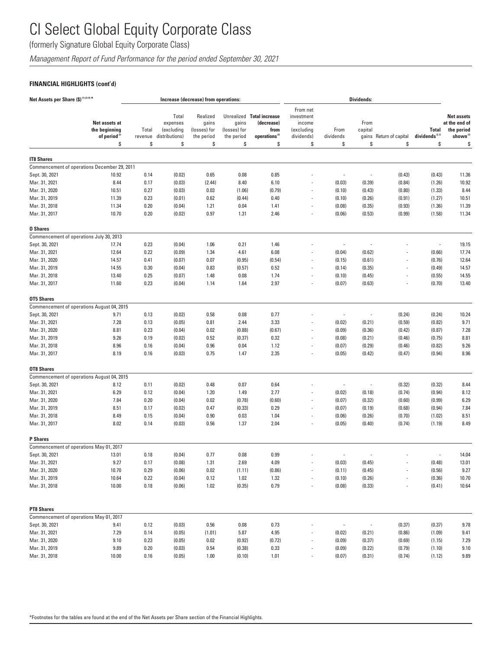(formerly Signature Global Equity Corporate Class)

*Management Report of Fund Performance for the period ended September 30, 2021*

### **FINANCIAL HIGHLIGHTS (cont'd)**

| Net Assets per Share (\$)(1)(2)(4)*                          |                                                                  |                        |                                                         | Increase (decrease) from operations:                  |                                           |                                                                                    |                                                                    |                          | <b>Dividends:</b>              |                          |                                                  |                                                                                |
|--------------------------------------------------------------|------------------------------------------------------------------|------------------------|---------------------------------------------------------|-------------------------------------------------------|-------------------------------------------|------------------------------------------------------------------------------------|--------------------------------------------------------------------|--------------------------|--------------------------------|--------------------------|--------------------------------------------------|--------------------------------------------------------------------------------|
|                                                              | Net assets at<br>the beginning<br>of period <sup>(2)</sup><br>\$ | Total<br>revenue<br>\$ | Total<br>expenses<br>(excluding<br>distributions)<br>\$ | Realized<br>gains<br>(losses) for<br>the period<br>\$ | gains<br>(losses) for<br>the period<br>\$ | Unrealized Total increase<br>(decrease)<br>from<br>operations <sup>(2)</sup><br>\$ | From net<br>investment<br>income<br>(excluding<br>dividends)<br>\$ | From<br>dividends<br>\$  | From<br>capital<br>gains<br>\$ | Return of capital<br>\$  | <b>Total</b><br>dividends <sup>(2,3)</sup><br>\$ | <b>Net assets</b><br>at the end of<br>the period<br>shown <sup>(2)</sup><br>\$ |
|                                                              |                                                                  |                        |                                                         |                                                       |                                           |                                                                                    |                                                                    |                          |                                |                          |                                                  |                                                                                |
| <b>IT8 Shares</b>                                            |                                                                  |                        |                                                         |                                                       |                                           |                                                                                    |                                                                    |                          |                                |                          |                                                  |                                                                                |
|                                                              | Commencement of operations December 29, 2011                     |                        |                                                         |                                                       |                                           |                                                                                    |                                                                    |                          |                                |                          |                                                  |                                                                                |
| Sept. 30, 2021                                               | 10.92                                                            | 0.14                   | (0.02)                                                  | 0.65                                                  | 0.08                                      | 0.85                                                                               |                                                                    | $\overline{\phantom{a}}$ | Ĭ.                             | (0.43)                   | (0.43)                                           | 11.36                                                                          |
| Mar. 31, 2021                                                | 8.44                                                             | 0.17                   | (0.03)                                                  | (2.44)                                                | 8.40                                      | 6.10                                                                               |                                                                    | (0.03)                   | (0.39)                         | (0.84)                   | (1.26)                                           | 10.92                                                                          |
| Mar. 31, 2020                                                | 10.51                                                            | 0.27                   | (0.03)                                                  | 0.03                                                  | (1.06)                                    | (0.79)                                                                             | $\overline{\phantom{a}}$                                           | (0.10)                   | (0.43)                         | (0.80)                   | (1.33)                                           | 8.44                                                                           |
| Mar. 31, 2019                                                | 11.39                                                            | 0.23                   | (0.01)                                                  | 0.62                                                  | (0.44)                                    | 0.40                                                                               | $\overline{\phantom{m}}$                                           | (0.10)                   | (0.26)                         | (0.91)                   | (1.27)                                           | 10.51                                                                          |
| Mar. 31, 2018                                                | 11.34                                                            | 0.20                   | (0.04)                                                  | 1.21                                                  | 0.04                                      | 1.41                                                                               | $\overline{\phantom{a}}$                                           | (0.08)                   | (0.35)                         | (0.93)                   | (1.36)                                           | 11.39                                                                          |
| Mar. 31, 2017                                                | 10.70                                                            | 0.20                   | (0.02)                                                  | 0.97                                                  | 1.31                                      | 2.46                                                                               | $\overline{a}$                                                     | (0.06)                   | (0.53)                         | (0.99)                   | (1.58)                                           | 11.34                                                                          |
| <b>0 Shares</b>                                              |                                                                  |                        |                                                         |                                                       |                                           |                                                                                    |                                                                    |                          |                                |                          |                                                  |                                                                                |
| Commencement of operations July 30, 2013                     |                                                                  |                        |                                                         |                                                       |                                           |                                                                                    |                                                                    |                          |                                |                          |                                                  |                                                                                |
| Sept. 30, 2021                                               | 17.74                                                            | 0.23                   | (0.04)                                                  | 1.06                                                  | 0.21                                      | 1.46                                                                               |                                                                    | ÷,                       |                                |                          |                                                  | 19.15                                                                          |
| Mar. 31, 2021                                                | 12.64                                                            | 0.22                   | (0.09)                                                  | 1.34                                                  | 4.61                                      | 6.08                                                                               | ÷,                                                                 | (0.04)                   | (0.62)                         |                          | (0.66)                                           | 17.74                                                                          |
| Mar. 31, 2020                                                | 14.57                                                            | 0.41                   | (0.07)                                                  | 0.07                                                  | (0.95)                                    | (0.54)                                                                             | $\overline{\phantom{a}}$                                           | (0.15)                   | (0.61)                         | $\overline{\phantom{a}}$ | (0.76)                                           | 12.64                                                                          |
| Mar. 31, 2019                                                | 14.55                                                            | 0.30                   | (0.04)                                                  | 0.83                                                  | (0.57)                                    | 0.52                                                                               | ÷,                                                                 | (0.14)                   | (0.35)                         |                          | (0.49)                                           | 14.57                                                                          |
| Mar. 31, 2018                                                | 13.40                                                            | 0.25                   | (0.07)                                                  | 1.48                                                  | 0.08                                      | 1.74                                                                               |                                                                    | (0.10)                   | (0.45)                         |                          | (0.55)                                           | 14.55                                                                          |
| Mar. 31, 2017                                                | 11.60                                                            | 0.23                   | (0.04)                                                  | 1.14                                                  | 1.64                                      | 2.97                                                                               | $\overline{\phantom{a}}$                                           | (0.07)                   | (0.63)                         | $\overline{\phantom{a}}$ | (0.70)                                           | 13.40                                                                          |
| <b>OT5 Shares</b>                                            |                                                                  |                        |                                                         |                                                       |                                           |                                                                                    |                                                                    |                          |                                |                          |                                                  |                                                                                |
|                                                              | Commencement of operations August 04, 2015                       |                        |                                                         |                                                       |                                           |                                                                                    |                                                                    |                          |                                |                          |                                                  |                                                                                |
| Sept. 30, 2021                                               | 9.71                                                             | 0.13                   | (0.02)                                                  | 0.58                                                  | 0.08                                      | 0.77                                                                               |                                                                    |                          | ÷,                             | (0.24)                   | (0.24)                                           | 10.24                                                                          |
| Mar. 31, 2021                                                | 7.28                                                             | 0.13                   | (0.05)                                                  | 0.81                                                  | 2.44                                      | 3.33                                                                               |                                                                    | (0.02)                   | (0.21)                         | (0.59)                   | (0.82)                                           | 9.71                                                                           |
| Mar. 31, 2020                                                | 8.81                                                             | 0.23                   | (0.04)                                                  | 0.02                                                  | (0.88)                                    | (0.67)                                                                             | $\overline{a}$                                                     | (0.09)                   | (0.36)                         | (0.42)                   | (0.87)                                           | 7.28                                                                           |
| Mar. 31, 2019                                                | 9.26                                                             | 0.19                   | (0.02)                                                  | 0.52                                                  | (0.37)                                    | 0.32                                                                               | ÷,                                                                 | (0.08)                   | (0.21)                         | (0.46)                   | (0.75)                                           | 8.81                                                                           |
| Mar. 31, 2018                                                | 8.96                                                             | 0.16                   | (0.04)                                                  | 0.96                                                  | 0.04                                      | 1.12                                                                               | ÷,                                                                 | (0.07)                   | (0.29)                         | (0.46)                   | (0.82)                                           | 9.26                                                                           |
| Mar. 31, 2017                                                | 8.19                                                             | 0.16                   | (0.03)                                                  | 0.75                                                  | 1.47                                      | 2.35                                                                               | $\overline{\phantom{a}}$                                           | (0.05)                   | (0.42)                         | (0.47)                   | (0.94)                                           | 8.96                                                                           |
| <b>OT8 Shares</b>                                            |                                                                  |                        |                                                         |                                                       |                                           |                                                                                    |                                                                    |                          |                                |                          |                                                  |                                                                                |
|                                                              | Commencement of operations August 04, 2015                       |                        |                                                         |                                                       |                                           |                                                                                    |                                                                    |                          |                                |                          |                                                  |                                                                                |
| Sept. 30, 2021                                               | 8.12                                                             | 0.11                   | (0.02)                                                  | 0.48                                                  | 0.07                                      | 0.64                                                                               |                                                                    | ÷,                       | ÷,                             | (0.32)                   | (0.32)                                           | 8.44                                                                           |
| Mar. 31, 2021                                                | 6.29                                                             | 0.12                   | (0.04)                                                  | 1.20                                                  | 1.49                                      | 2.77                                                                               |                                                                    | (0.02)                   | (0.18)                         | (0.74)                   | (0.94)                                           | 8.12                                                                           |
| Mar. 31, 2020                                                | 7.84                                                             | 0.20                   | (0.04)                                                  | 0.02                                                  | (0.78)                                    | (0.60)                                                                             | $\overline{\phantom{m}}$                                           | (0.07)                   | (0.32)                         | (0.60)                   | (0.99)                                           | 6.29                                                                           |
| Mar. 31, 2019                                                | 8.51                                                             | 0.17                   | (0.02)                                                  | 0.47                                                  | (0.33)                                    | 0.29                                                                               |                                                                    | (0.07)                   | (0.19)                         | (0.68)                   | (0.94)                                           | 7.84                                                                           |
| Mar. 31, 2018                                                | 8.49                                                             | 0.15                   | (0.04)                                                  | 0.90                                                  | 0.03                                      | 1.04                                                                               | ÷,                                                                 | (0.06)                   | (0.26)                         | (0.70)                   | (1.02)                                           | 8.51                                                                           |
| Mar. 31, 2017                                                | 8.02                                                             | 0.14                   | (0.03)                                                  | 0.56                                                  | 1.37                                      | 2.04                                                                               |                                                                    | (0.05)                   | (0.40)                         | (0.74)                   | (1.19)                                           | 8.49                                                                           |
| <b>P</b> Shares                                              |                                                                  |                        |                                                         |                                                       |                                           |                                                                                    |                                                                    |                          |                                |                          |                                                  |                                                                                |
| Commencement of operations May 01, 2017                      |                                                                  |                        |                                                         |                                                       |                                           |                                                                                    |                                                                    |                          |                                |                          |                                                  |                                                                                |
| Sept. 30, 2021                                               | 13.01                                                            | 0.18                   | (0.04)                                                  | 0.77                                                  | 0.08                                      | 0.99                                                                               |                                                                    |                          |                                |                          |                                                  | 14.04                                                                          |
| Mar. 31, 2021                                                | 9.27                                                             | 0.17                   | (0.08)                                                  | 1.31                                                  | 2.69                                      | 4.09                                                                               |                                                                    | (0.03)                   | (0.45)                         |                          | (0.48)                                           | 13.01                                                                          |
| Mar. 31, 2020                                                | 10.70                                                            | 0.29                   | (0.06)                                                  | 0.02                                                  | (1.11)                                    | (0.86)                                                                             | $\overline{\phantom{a}}$                                           | (0.11)                   | (0.45)                         | $\overline{\phantom{a}}$ | (0.56)                                           | 9.27                                                                           |
| Mar. 31, 2019                                                | 10.64                                                            | 0.22                   | (0.04)                                                  | 0.12                                                  | 1.02                                      | 1.32                                                                               | $\overline{\phantom{a}}$                                           | (0.10)                   | (0.26)                         |                          | (0.36)                                           | 10.70                                                                          |
| Mar. 31, 2018                                                | 10.00                                                            | 0.18                   | (0.06)                                                  | 1.02                                                  | (0.35)                                    | 0.79                                                                               | $\overline{\phantom{a}}$                                           | (0.08)                   | (0.33)                         | $\overline{\phantom{a}}$ | (0.41)                                           | 10.64                                                                          |
|                                                              |                                                                  |                        |                                                         |                                                       |                                           |                                                                                    |                                                                    |                          |                                |                          |                                                  |                                                                                |
| <b>PT8 Shares</b><br>Commencement of operations May 01, 2017 |                                                                  |                        |                                                         |                                                       |                                           |                                                                                    |                                                                    |                          |                                |                          |                                                  |                                                                                |
| Sept. 30, 2021                                               | 9.41                                                             | 0.12                   | (0.03)                                                  | 0.56                                                  | 0.08                                      | 0.73                                                                               |                                                                    | $\overline{\phantom{a}}$ | $\overline{\phantom{a}}$       | (0.37)                   | (0.37)                                           | 9.78                                                                           |
| Mar. 31, 2021                                                | 7.29                                                             | 0.14                   | (0.05)                                                  | (1.01)                                                | 5.87                                      | 4.95                                                                               |                                                                    | (0.02)                   | (0.21)                         | (0.86)                   | (1.09)                                           | 9.41                                                                           |
| Mar. 31, 2020                                                | 9.10                                                             | 0.23                   | (0.05)                                                  | 0.02                                                  | (0.92)                                    | (0.72)                                                                             | $\overline{\phantom{a}}$                                           | (0.09)                   | (0.37)                         | (0.69)                   | (1.15)                                           | 7.29                                                                           |
| Mar. 31, 2019                                                | 9.89                                                             | 0.20                   | (0.03)                                                  | 0.54                                                  | (0.38)                                    | 0.33                                                                               |                                                                    | (0.09)                   | (0.22)                         | (0.79)                   | (1.10)                                           | 9.10                                                                           |
| Mar. 31, 2018                                                | 10.00                                                            | 0.16                   | (0.05)                                                  | 1.00                                                  | (0.10)                                    | 1.01                                                                               |                                                                    | (0.07)                   | (0.31)                         | (0.74)                   | (1.12)                                           | 9.89                                                                           |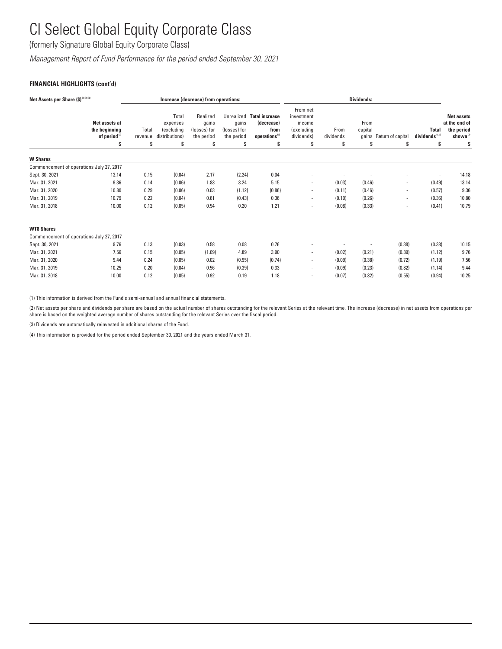(formerly Signature Global Equity Corporate Class)

*Management Report of Fund Performance for the period ended September 30, 2021*

### **FINANCIAL HIGHLIGHTS (cont'd)**

| Net Assets per Share (\$) (1) (2) (4)    |                                                                  |                       |                                                         | Increase (decrease) from operations:                  |                                                         |                                                                                | <b>Dividends:</b>                                                  |                         |                       |                               |                                                |                                                                               |
|------------------------------------------|------------------------------------------------------------------|-----------------------|---------------------------------------------------------|-------------------------------------------------------|---------------------------------------------------------|--------------------------------------------------------------------------------|--------------------------------------------------------------------|-------------------------|-----------------------|-------------------------------|------------------------------------------------|-------------------------------------------------------------------------------|
|                                          | Net assets at<br>the beginning<br>of period <sup>(2)</sup><br>\$ | Total<br>revenue<br>S | Total<br>expenses<br>(excluding<br>distributions)<br>\$ | Realized<br>gains<br>(losses) for<br>the period<br>\$ | Unrealized<br>gains<br>(losses) for<br>the period<br>\$ | <b>Total increase</b><br>(decrease)<br>from<br>operations <sup>(2)</sup><br>\$ | From net<br>investment<br>income<br>(excluding<br>dividends)<br>\$ | From<br>dividends<br>\$ | From<br>capital<br>\$ | gains Return of capital<br>\$ | <b>Total</b><br>dividends <sup>2,39</sup><br>s | <b>Net assets</b><br>at the end of<br>the period<br>shown <sup>(2)</sup><br>S |
|                                          |                                                                  |                       |                                                         |                                                       |                                                         |                                                                                |                                                                    |                         |                       |                               |                                                |                                                                               |
| <b>W</b> Shares                          |                                                                  |                       |                                                         |                                                       |                                                         |                                                                                |                                                                    |                         |                       |                               |                                                |                                                                               |
| Commencement of operations July 27, 2017 |                                                                  |                       |                                                         |                                                       |                                                         |                                                                                |                                                                    |                         |                       |                               |                                                |                                                                               |
| Sept. 30, 2021                           | 13.14                                                            | 0.15                  | (0.04)                                                  | 2.17                                                  | (2.24)                                                  | 0.04                                                                           |                                                                    |                         |                       |                               |                                                | 14.18                                                                         |
| Mar. 31, 2021                            | 9.36                                                             | 0.14                  | (0.06)                                                  | 1.83                                                  | 3.24                                                    | 5.15                                                                           | $\overline{\phantom{a}}$                                           | (0.03)                  | (0.46)                |                               | (0.49)                                         | 13.14                                                                         |
| Mar. 31, 2020                            | 10.80                                                            | 0.29                  | (0.06)                                                  | 0.03                                                  | (1.12)                                                  | (0.86)                                                                         | $\overline{\phantom{a}}$                                           | (0.11)                  | (0.46)                | $\overline{\phantom{a}}$      | (0.57)                                         | 9.36                                                                          |
| Mar. 31, 2019                            | 10.79                                                            | 0.22                  | (0.04)                                                  | 0.61                                                  | (0.43)                                                  | 0.36                                                                           | $\overline{\phantom{a}}$                                           | (0.10)                  | (0.26)                |                               | (0.36)                                         | 10.80                                                                         |
| Mar. 31, 2018                            | 10.00                                                            | 0.12                  | (0.05)                                                  | 0.94                                                  | 0.20                                                    | 1.21                                                                           | $\overline{\phantom{a}}$                                           | (0.08)                  | (0.33)                | $\overline{\phantom{a}}$      | (0.41)                                         | 10.79                                                                         |
| <b>WT8 Shares</b>                        |                                                                  |                       |                                                         |                                                       |                                                         |                                                                                |                                                                    |                         |                       |                               |                                                |                                                                               |
| Commencement of operations July 27, 2017 |                                                                  |                       |                                                         |                                                       |                                                         |                                                                                |                                                                    |                         |                       |                               |                                                |                                                                               |
| Sept. 30, 2021                           | 9.76                                                             | 0.13                  | (0.03)                                                  | 0.58                                                  | 0.08                                                    | 0.76                                                                           |                                                                    |                         |                       | (0.38)                        | (0.38)                                         | 10.15                                                                         |
| Mar. 31, 2021                            | 7.56                                                             | 0.15                  | (0.05)                                                  | (1.09)                                                | 4.89                                                    | 3.90                                                                           | $\overline{\phantom{a}}$                                           | (0.02)                  | (0.21)                | (0.89)                        | (1.12)                                         | 9.76                                                                          |
| Mar. 31, 2020                            | 9.44                                                             | 0.24                  | (0.05)                                                  | 0.02                                                  | (0.95)                                                  | (0.74)                                                                         | $\overline{\phantom{a}}$                                           | (0.09)                  | (0.38)                | (0.72)                        | (1.19)                                         | 7.56                                                                          |
| Mar. 31, 2019                            | 10.25                                                            | 0.20                  | (0.04)                                                  | 0.56                                                  | (0.39)                                                  | 0.33                                                                           | $\blacksquare$                                                     | (0.09)                  | (0.23)                | (0.82)                        | (1.14)                                         | 9.44                                                                          |
| Mar. 31, 2018                            | 10.00                                                            | 0.12                  | (0.05)                                                  | 0.92                                                  | 0.19                                                    | 1.18                                                                           | $\overline{\phantom{a}}$                                           | (0.07)                  | (0.32)                | (0.55)                        | (0.94)                                         | 10.25                                                                         |

(1) This information is derived from the Fund's semi-annual and annual financial statements.

(2) Net assets per share and dividends per share are based on the actual number of shares outstanding for the relevant Series at the relevant time. The increase (decrease) in net assets from operations per share is based on the weighted average number of shares outstanding for the relevant Series over the fiscal period.

(3) Dividends are automatically reinvested in additional shares of the Fund.

(4) This information is provided for the period ended September 30, 2021 and the years ended March 31.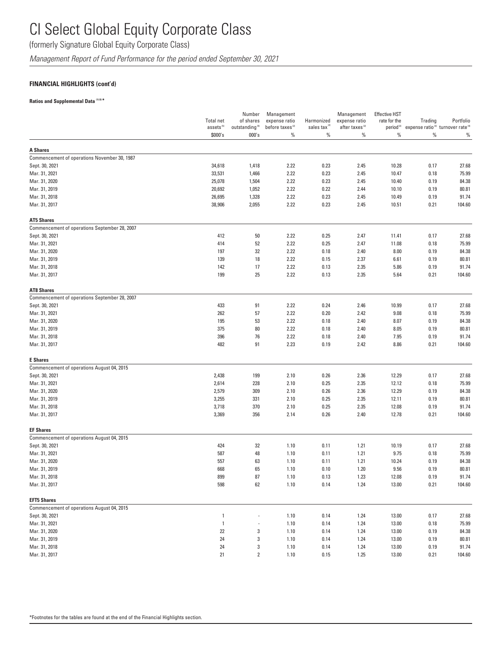(formerly Signature Global Equity Corporate Class)

*Management Report of Fund Performance for the period ended September 30, 2021*

### **FINANCIAL HIGHLIGHTS (cont'd)**

### **Ratios and Supplemental Data (1) (5) \***

|                                               |                                  | Number                              | Management                          |                                  | Management                      | <b>Effective HST</b> |                                                                                         |           |
|-----------------------------------------------|----------------------------------|-------------------------------------|-------------------------------------|----------------------------------|---------------------------------|----------------------|-----------------------------------------------------------------------------------------|-----------|
|                                               | <b>Total net</b>                 | of shares                           | expense ratio                       | Harmonized                       | expense ratio                   | rate for the         | Trading                                                                                 | Portfolio |
|                                               | assets <sup>(5)</sup><br>\$000's | outstanding <sup>(5)</sup><br>000's | before taxes <sup>(2)</sup><br>$\%$ | sales tax <sup>(2)</sup><br>$\%$ | after taxes <sup>(2)</sup><br>% | $\%$                 | period <sup>(2)</sup> expense ratio <sup>(3)</sup> turnover rate <sup>(4)</sup><br>$\%$ | %         |
| <b>A Shares</b>                               |                                  |                                     |                                     |                                  |                                 |                      |                                                                                         |           |
| Commencement of operations November 30, 1987  |                                  |                                     |                                     |                                  |                                 |                      |                                                                                         |           |
| Sept. 30, 2021                                | 34,618                           | 1,418                               | 2.22                                | 0.23                             | 2.45                            | 10.28                | 0.17                                                                                    | 27.68     |
| Mar. 31, 2021                                 | 33,531                           | 1,466                               | 2.22                                | 0.23                             | 2.45                            | 10.47                | 0.18                                                                                    | 75.99     |
| Mar. 31, 2020                                 | 25,078                           | 1,504                               | 2.22                                | 0.23                             | 2.45                            | 10.40                | 0.19                                                                                    | 84.38     |
| Mar. 31, 2019                                 | 20,692                           | 1,052                               | 2.22                                | 0.22                             | 2.44                            | 10.10                | 0.19                                                                                    | 80.81     |
| Mar. 31, 2018                                 | 26,695                           | 1,328                               | 2.22                                | 0.23                             | 2.45                            | 10.49                | 0.19                                                                                    | 91.74     |
| Mar. 31, 2017                                 | 38,906                           | 2,055                               | 2.22                                | 0.23                             | 2.45                            | 10.51                | 0.21                                                                                    | 104.60    |
| <b>AT5 Shares</b>                             |                                  |                                     |                                     |                                  |                                 |                      |                                                                                         |           |
| Commencement of operations September 28, 2007 |                                  |                                     |                                     |                                  |                                 |                      |                                                                                         |           |
| Sept. 30, 2021                                | 412                              | 50                                  | 2.22                                | 0.25                             | 2.47                            | 11.41                | 0.17                                                                                    | 27.68     |
| Mar. 31, 2021                                 | 414                              | 52                                  | 2.22                                | 0.25                             | 2.47                            | 11.08                | 0.18                                                                                    | 75.99     |
| Mar. 31, 2020                                 | 197                              | 32                                  | 2.22                                | 0.18                             | 2.40                            | 8.00                 | 0.19                                                                                    | 84.38     |
| Mar. 31, 2019                                 | 139                              | 18                                  | 2.22                                | 0.15                             | 2.37                            | 6.61                 | 0.19                                                                                    | 80.81     |
| Mar. 31, 2018                                 | 142                              | 17                                  | 2.22                                | 0.13                             | 2.35                            | 5.86                 | 0.19                                                                                    | 91.74     |
| Mar. 31, 2017                                 | 199                              | 25                                  | 2.22                                | 0.13                             | 2.35                            | 5.64                 | 0.21                                                                                    | 104.60    |
| <b>AT8 Shares</b>                             |                                  |                                     |                                     |                                  |                                 |                      |                                                                                         |           |
| Commencement of operations September 28, 2007 |                                  |                                     |                                     |                                  |                                 |                      |                                                                                         |           |
| Sept. 30, 2021                                | 433                              | 91                                  | 2.22                                | 0.24                             | 2.46                            | 10.99                | 0.17                                                                                    | 27.68     |
| Mar. 31, 2021                                 | 262                              | 57                                  | 2.22                                | 0.20                             | 2.42                            | 9.08                 | 0.18                                                                                    | 75.99     |
| Mar. 31, 2020                                 | 195                              | 53                                  | 2.22                                | 0.18                             | 2.40                            | 8.07                 | 0.19                                                                                    | 84.38     |
| Mar. 31, 2019                                 | 375                              | 80                                  | 2.22                                | 0.18                             | 2.40                            | 8.05                 | 0.19                                                                                    | 80.81     |
| Mar. 31, 2018                                 | 396                              | 76                                  | 2.22                                | 0.18                             | 2.40                            | 7.95                 | 0.19                                                                                    | 91.74     |
| Mar. 31, 2017                                 | 482                              | 91                                  | 2.23                                | 0.19                             | 2.42                            | 8.86                 | 0.21                                                                                    | 104.60    |
| <b>E</b> Shares                               |                                  |                                     |                                     |                                  |                                 |                      |                                                                                         |           |
| Commencement of operations August 04, 2015    |                                  |                                     |                                     |                                  |                                 |                      |                                                                                         |           |
| Sept. 30, 2021                                | 2,438                            | 199                                 | 2.10                                | 0.26                             | 2.36                            | 12.29                | 0.17                                                                                    | 27.68     |
| Mar. 31, 2021                                 | 2,614                            | 228                                 | 2.10                                | 0.25                             | 2.35                            | 12.12                | 0.18                                                                                    | 75.99     |
| Mar. 31, 2020                                 | 2,579                            | 309                                 | 2.10                                | 0.26                             | 2.36                            | 12.29                | 0.19                                                                                    | 84.38     |
| Mar. 31, 2019                                 | 3,255                            | 331                                 | 2.10                                | 0.25                             | 2.35                            | 12.11                | 0.19                                                                                    | 80.81     |
| Mar. 31, 2018                                 | 3,718                            | 370                                 | 2.10                                | 0.25                             | 2.35                            | 12.08                | 0.19                                                                                    | 91.74     |
| Mar. 31, 2017                                 | 3,369                            | 356                                 | 2.14                                | 0.26                             | 2.40                            | 12.78                | 0.21                                                                                    | 104.60    |
| <b>EF Shares</b>                              |                                  |                                     |                                     |                                  |                                 |                      |                                                                                         |           |
| Commencement of operations August 04, 2015    |                                  |                                     |                                     |                                  |                                 |                      |                                                                                         |           |
| Sept. 30, 2021                                | 424                              | 32                                  | 1.10                                | 0.11                             | 1.21                            | 10.19                | 0.17                                                                                    | 27.68     |
| Mar. 31, 2021                                 | 587                              | 48                                  | 1.10                                | 0.11                             | 1.21                            | 9.75                 | 0.18                                                                                    | 75.99     |
| Mar. 31, 2020                                 | 557                              | 63                                  | 1.10                                | 0.11                             | 1.21                            | 10.24                | 0.19                                                                                    | 84.38     |
| Mar. 31, 2019                                 | 668                              | 65                                  | 1.10                                | 0.10                             | 1.20                            | 9.56                 | 0.19                                                                                    | 80.81     |
| Mar. 31, 2018                                 | 899                              | 87                                  | 1.10                                | 0.13                             | 1.23                            | 12.08                | 0.19                                                                                    | 91.74     |
| Mar. 31, 2017                                 | 598                              | 62                                  | 1.10                                | 0.14                             | 1.24                            | 13.00                | 0.21                                                                                    | 104.60    |
| <b>EFT5 Shares</b>                            |                                  |                                     |                                     |                                  |                                 |                      |                                                                                         |           |
| Commencement of operations August 04, 2015    |                                  |                                     |                                     |                                  |                                 |                      |                                                                                         |           |
| Sept. 30, 2021                                | $\mathbf{1}$                     |                                     | 1.10                                | 0.14                             | 1.24                            | 13.00                | 0.17                                                                                    | 27.68     |
| Mar. 31, 2021                                 | $\mathbf{1}$                     |                                     | 1.10                                | 0.14                             | 1.24                            | 13.00                | 0.18                                                                                    | 75.99     |
| Mar. 31, 2020                                 | 22                               | 3                                   | 1.10                                | 0.14                             | 1.24                            | 13.00                | 0.19                                                                                    | 84.38     |
| Mar. 31, 2019                                 | 24                               | 3                                   | 1.10                                | 0.14                             | 1.24                            | 13.00                | 0.19                                                                                    | 80.81     |
| Mar. 31, 2018                                 | 24                               | 3                                   | 1.10                                | 0.14                             | 1.24                            | 13.00                | 0.19                                                                                    | 91.74     |
| Mar. 31, 2017                                 | 21                               | $\overline{2}$                      | 1.10                                | 0.15                             | 1.25                            | 13.00                | 0.21                                                                                    | 104.60    |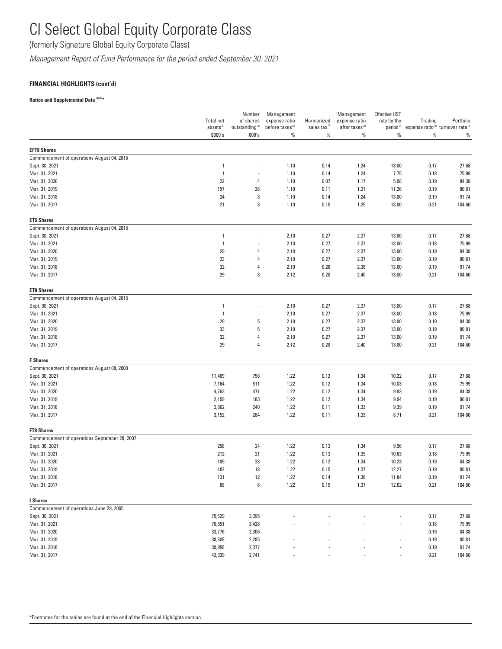(formerly Signature Global Equity Corporate Class)

*Management Report of Fund Performance for the period ended September 30, 2021*

### **FINANCIAL HIGHLIGHTS (cont'd)**

#### **Ratios and Supplemental Data (1) (5) \***

|                                               | <b>Total net</b><br>assets <sup>(5)</sup> | Number<br>of shares<br>outstanding <sup>(5)</sup> | Management<br>expense ratio<br>before taxes <sup>(2)</sup> | Harmonized<br>sales tax <sup>12</sup> | Management<br>expense ratio<br>after taxes <sup>(2)</sup> | <b>Effective HST</b><br>rate for the | Trading<br>period <sup>(2)</sup> expense ratio <sup>(3)</sup> turnover rate <sup>(4)</sup> | Portfolio      |
|-----------------------------------------------|-------------------------------------------|---------------------------------------------------|------------------------------------------------------------|---------------------------------------|-----------------------------------------------------------|--------------------------------------|--------------------------------------------------------------------------------------------|----------------|
|                                               | \$000's                                   | 000's                                             | $\%$                                                       | $\%$                                  | $\%$                                                      | $\%$                                 | %                                                                                          | $\%$           |
| <b>EFT8 Shares</b>                            |                                           |                                                   |                                                            |                                       |                                                           |                                      |                                                                                            |                |
| Commencement of operations August 04, 2015    |                                           |                                                   |                                                            |                                       |                                                           |                                      |                                                                                            |                |
| Sept. 30, 2021                                | $\overline{1}$                            | ÷                                                 | 1.10                                                       | 0.14                                  | 1.24                                                      | 13.00                                | 0.17                                                                                       | 27.68          |
| Mar. 31, 2021                                 | $\overline{1}$                            |                                                   | 1.10                                                       | 0.14                                  | 1.24                                                      | 7.75                                 | 0.18                                                                                       | 75.99          |
| Mar. 31, 2020                                 | 22                                        | 4                                                 | 1.10                                                       | 0.07                                  | 1.17                                                      | 5.98                                 | 0.19                                                                                       | 84.38          |
| Mar. 31, 2019                                 | 197                                       | 26                                                | 1.10                                                       | 0.11                                  | 1.21                                                      | 11.26                                | 0.19                                                                                       | 80.81          |
| Mar. 31, 2018                                 | 24                                        | $\sqrt{3}$                                        | 1.10                                                       | 0.14                                  | 1.24                                                      | 13.00                                | 0.19                                                                                       | 91.74          |
| Mar. 31, 2017                                 | 21                                        | $\sqrt{3}$                                        | 1.10                                                       | 0.15                                  | 1.25                                                      | 13.00                                | 0.21                                                                                       | 104.60         |
| <b>ET5 Shares</b>                             |                                           |                                                   |                                                            |                                       |                                                           |                                      |                                                                                            |                |
| Commencement of operations August 04, 2015    |                                           |                                                   |                                                            |                                       |                                                           |                                      |                                                                                            |                |
| Sept. 30, 2021                                | $\overline{1}$                            |                                                   | 2.10                                                       | 0.27                                  | 2.37                                                      | 13.00                                | 0.17                                                                                       | 27.68          |
| Mar. 31, 2021                                 | $\overline{\phantom{a}}$                  |                                                   | 2.10                                                       | 0.27                                  | 2.37                                                      | 13.00                                | 0.18                                                                                       | 75.99          |
| Mar. 31, 2020                                 | 29                                        | 4                                                 | 2.10                                                       | 0.27                                  | 2.37                                                      | 13.00                                | 0.19                                                                                       | 84.38          |
| Mar. 31, 2019                                 | 33                                        | 4                                                 | 2.10                                                       | 0.27                                  | 2.37                                                      | 13.00                                | 0.19                                                                                       | 80.81          |
| Mar. 31, 2018                                 | 32                                        | 4                                                 | 2.10                                                       | 0.28                                  | 2.38                                                      | 13.00                                | 0.19                                                                                       | 91.74          |
| Mar. 31, 2017                                 | 29                                        | 3                                                 | 2.12                                                       | 0.28                                  | 2.40                                                      | 13.00                                | 0.21                                                                                       | 104.60         |
| <b>ET8 Shares</b>                             |                                           |                                                   |                                                            |                                       |                                                           |                                      |                                                                                            |                |
| Commencement of operations August 04, 2015    |                                           |                                                   |                                                            |                                       |                                                           |                                      |                                                                                            |                |
| Sept. 30, 2021                                | $\overline{1}$                            |                                                   | 2.10                                                       | 0.27                                  | 2.37                                                      | 13.00                                | 0.17                                                                                       | 27.68          |
| Mar. 31, 2021                                 | $\overline{\phantom{a}}$                  | $\overline{a}$                                    | 2.10                                                       | 0.27                                  | 2.37                                                      | 13.00                                | 0.18                                                                                       | 75.99          |
| Mar. 31, 2020                                 | 29                                        | 5                                                 | 2.10                                                       | 0.27                                  | 2.37                                                      | 13.00                                | 0.19                                                                                       | 84.38          |
| Mar. 31, 2019                                 | 33                                        | 5                                                 | 2.10                                                       | 0.27                                  | 2.37                                                      | 13.00                                | 0.19                                                                                       | 80.81          |
| Mar. 31, 2018                                 | 32                                        | 4                                                 | 2.10                                                       | 0.27                                  | 2.37                                                      | 13.00                                | 0.19                                                                                       | 91.74          |
| Mar. 31, 2017                                 | 29                                        | 4                                                 | 2.12                                                       | 0.28                                  | 2.40                                                      | 13.00                                | 0.21                                                                                       | 104.60         |
| <b>F</b> Shares                               |                                           |                                                   |                                                            |                                       |                                                           |                                      |                                                                                            |                |
| Commencement of operations August 08, 2000    |                                           |                                                   |                                                            |                                       |                                                           |                                      |                                                                                            |                |
| Sept. 30, 2021                                | 11,409                                    | 758                                               | 1.22                                                       | 0.12                                  | 1.34                                                      | 10.22                                | 0.17                                                                                       | 27.68          |
| Mar. 31, 2021                                 | 7,164                                     | 511                                               | 1.22                                                       | 0.12                                  | 1.34                                                      | 10.03                                | 0.18                                                                                       | 75.99          |
| Mar. 31, 2020                                 | 4,763                                     | 471                                               | 1.22                                                       | 0.12                                  | 1.34                                                      | 9.93                                 | 0.19                                                                                       | 84.38          |
| Mar. 31, 2019                                 | 2,159                                     | 183                                               | 1.22                                                       | 0.12                                  | 1.34                                                      | 9.94                                 | 0.19                                                                                       | 80.81<br>91.74 |
| Mar. 31, 2018<br>Mar. 31, 2017                | 2,862<br>3,152                            | 240<br>284                                        | 1.22<br>1.22                                               | 0.11<br>0.11                          | 1.33<br>1.33                                              | 9.39<br>8.71                         | 0.19<br>0.21                                                                               | 104.60         |
| <b>FT8 Shares</b>                             |                                           |                                                   |                                                            |                                       |                                                           |                                      |                                                                                            |                |
| Commencement of operations September 28, 2007 |                                           |                                                   |                                                            |                                       |                                                           |                                      |                                                                                            |                |
| Sept. 30, 2021                                | 258                                       | 24                                                | 1.22                                                       | 0.12                                  | 1.34                                                      | 9.96                                 | 0.17                                                                                       | 27.68          |
| Mar. 31, 2021                                 | 212                                       | 21                                                | 1.22                                                       | 0.13                                  | 1.35                                                      | 10.63                                | 0.18                                                                                       | 75.99          |
| Mar. 31, 2020                                 | 189                                       | 23                                                | 1.22                                                       | 0.12                                  | 1.34                                                      | 10.23                                | 0.19                                                                                       | 84.38          |
| Mar. 31, 2019                                 | 182                                       | 18                                                | 1.22                                                       | 0.15                                  | 1.37                                                      | 12.27                                | 0.19                                                                                       | 80.81          |
| Mar. 31, 2018                                 | 131                                       | 12                                                | 1.22                                                       | 0.14                                  | 1.36                                                      | 11.84                                | 0.19                                                                                       | 91.74          |
| Mar. 31, 2017                                 | 68                                        | 6                                                 | 1.22                                                       | 0.15                                  | 1.37                                                      | 12.62                                | 0.21                                                                                       | 104.60         |
| I Shares                                      |                                           |                                                   |                                                            |                                       |                                                           |                                      |                                                                                            |                |
| Commencement of operations June 29, 2005      |                                           |                                                   |                                                            |                                       |                                                           |                                      |                                                                                            |                |
| Sept. 30, 2021                                | 75,529                                    | 3,395                                             |                                                            |                                       |                                                           |                                      | 0.17                                                                                       | 27.68          |
| Mar. 31, 2021                                 | 70,551                                    | 3,426                                             |                                                            |                                       |                                                           |                                      | 0.18                                                                                       | 75.99          |
| Mar. 31, 2020                                 | 33,776                                    | 2,306                                             |                                                            |                                       |                                                           |                                      | 0.19                                                                                       | 84.38          |
| Mar. 31, 2019                                 | 38,508                                    | 2,285                                             |                                                            |                                       |                                                           | ÷,                                   | 0.19                                                                                       | 80.81          |
| Mar. 31, 2018                                 | 39,958                                    | 2,377                                             |                                                            |                                       |                                                           |                                      | 0.19                                                                                       | 91.74          |
| Mar. 31, 2017                                 | 42,339                                    | 2,741                                             |                                                            |                                       |                                                           |                                      | 0.21                                                                                       | 104.60         |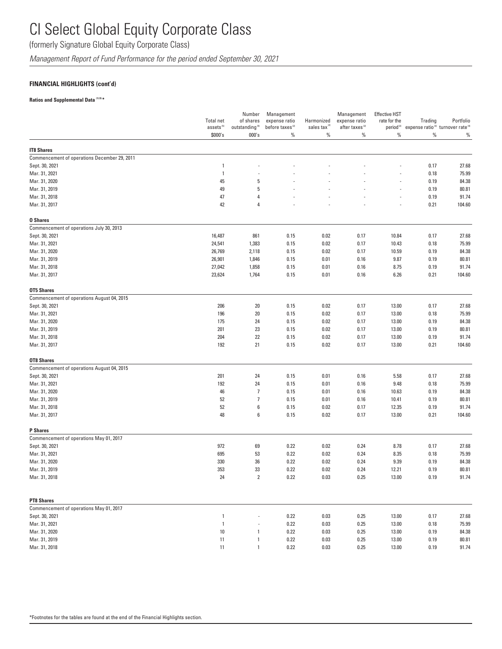(formerly Signature Global Equity Corporate Class)

*Management Report of Fund Performance for the period ended September 30, 2021*

### **FINANCIAL HIGHLIGHTS (cont'd)**

#### **Ratios and Supplemental Data (1) (5) \***

|                                              | <b>Total net</b><br>assets <sup>(5)</sup> | Number<br>of shares<br>outstanding <sup>(5)</sup> | Management<br>expense ratio<br>before taxes <sup>(2)</sup> | Harmonized<br>sales tax <sup>(2)</sup> | Management<br>expense ratio<br>after taxes <sup>(2)</sup> | <b>Effective HST</b><br>rate for the<br>period <sup>(2)</sup> | Trading | Portfolio<br>expense ratio <sup>(3)</sup> turnover rate <sup>(4)</sup> |
|----------------------------------------------|-------------------------------------------|---------------------------------------------------|------------------------------------------------------------|----------------------------------------|-----------------------------------------------------------|---------------------------------------------------------------|---------|------------------------------------------------------------------------|
|                                              | \$000's                                   | 000's                                             | $\%$                                                       | $\%$                                   | $\%$                                                      | $\%$                                                          | $\%$    | $\%$                                                                   |
| <b>IT8 Shares</b>                            |                                           |                                                   |                                                            |                                        |                                                           |                                                               |         |                                                                        |
| Commencement of operations December 29, 2011 |                                           |                                                   |                                                            |                                        |                                                           |                                                               |         |                                                                        |
| Sept. 30, 2021                               | 1                                         |                                                   |                                                            |                                        |                                                           |                                                               | 0.17    | 27.68                                                                  |
| Mar. 31, 2021                                | $\overline{1}$                            |                                                   |                                                            |                                        |                                                           |                                                               | 0.18    | 75.99                                                                  |
| Mar. 31, 2020                                | 45                                        | 5                                                 |                                                            |                                        |                                                           |                                                               | 0.19    | 84.38                                                                  |
| Mar. 31, 2019                                | 49                                        | 5                                                 |                                                            |                                        |                                                           |                                                               | 0.19    | 80.81                                                                  |
| Mar. 31, 2018                                | 47                                        | 4                                                 |                                                            |                                        |                                                           | ÷,                                                            | 0.19    | 91.74                                                                  |
| Mar. 31, 2017                                | 42                                        | $\overline{4}$                                    |                                                            |                                        |                                                           | i,                                                            | 0.21    | 104.60                                                                 |
| <b>0 Shares</b>                              |                                           |                                                   |                                                            |                                        |                                                           |                                                               |         |                                                                        |
| Commencement of operations July 30, 2013     |                                           |                                                   |                                                            |                                        |                                                           |                                                               |         |                                                                        |
| Sept. 30, 2021                               | 16,487                                    | 861                                               | 0.15                                                       | 0.02                                   | 0.17                                                      | 10.84                                                         | 0.17    | 27.68                                                                  |
| Mar. 31, 2021                                | 24,541                                    | 1,383                                             | 0.15                                                       | 0.02                                   | 0.17                                                      | 10.43                                                         | 0.18    | 75.99                                                                  |
| Mar. 31, 2020                                | 26,769                                    | 2,118                                             | 0.15                                                       | 0.02                                   | 0.17                                                      | 10.59                                                         | 0.19    | 84.38                                                                  |
| Mar. 31, 2019                                | 26,901                                    | 1,846                                             | 0.15                                                       | 0.01                                   | 0.16                                                      | 9.87                                                          | 0.19    | 80.81                                                                  |
| Mar. 31, 2018                                | 27,042                                    | 1,858                                             | 0.15                                                       | 0.01                                   | 0.16                                                      | 8.75                                                          | 0.19    | 91.74                                                                  |
| Mar. 31, 2017                                | 23,624                                    | 1,764                                             | 0.15                                                       | 0.01                                   | 0.16                                                      | 6.26                                                          | 0.21    | 104.60                                                                 |
| <b>OT5 Shares</b>                            |                                           |                                                   |                                                            |                                        |                                                           |                                                               |         |                                                                        |
| Commencement of operations August 04, 2015   |                                           |                                                   |                                                            |                                        |                                                           |                                                               |         |                                                                        |
| Sept. 30, 2021                               | 206                                       | 20                                                | 0.15                                                       | 0.02                                   | 0.17                                                      | 13.00                                                         | 0.17    | 27.68                                                                  |
| Mar. 31, 2021                                | 196                                       | 20                                                | 0.15                                                       | 0.02                                   | 0.17                                                      | 13.00                                                         | 0.18    | 75.99                                                                  |
| Mar. 31, 2020                                | 175                                       | 24                                                | 0.15                                                       | 0.02                                   | 0.17                                                      | 13.00                                                         | 0.19    | 84.38                                                                  |
| Mar. 31, 2019                                | 201                                       | 23                                                | 0.15                                                       | 0.02                                   | 0.17                                                      | 13.00                                                         | 0.19    | 80.81                                                                  |
| Mar. 31, 2018                                | 204                                       | 22                                                | 0.15                                                       | 0.02                                   | 0.17                                                      | 13.00                                                         | 0.19    | 91.74                                                                  |
| Mar. 31, 2017                                | 192                                       | 21                                                | 0.15                                                       | 0.02                                   | 0.17                                                      | 13.00                                                         | 0.21    | 104.60                                                                 |
| <b>OT8 Shares</b>                            |                                           |                                                   |                                                            |                                        |                                                           |                                                               |         |                                                                        |
| Commencement of operations August 04, 2015   |                                           |                                                   |                                                            |                                        |                                                           |                                                               |         |                                                                        |
| Sept. 30, 2021                               | 201                                       | 24                                                | 0.15                                                       | 0.01                                   | 0.16                                                      | 5.58                                                          | 0.17    | 27.68                                                                  |
| Mar. 31, 2021                                | 192                                       | 24                                                | 0.15                                                       | 0.01                                   | 0.16                                                      | 9.48                                                          | 0.18    | 75.99                                                                  |
| Mar. 31, 2020                                | 46                                        | $\overline{7}$                                    | 0.15                                                       | 0.01                                   | 0.16                                                      | 10.63                                                         | 0.19    | 84.38                                                                  |
| Mar. 31, 2019                                | 52                                        | $\overline{7}$                                    | 0.15                                                       | 0.01                                   | 0.16                                                      | 10.41                                                         | 0.19    | 80.81                                                                  |
| Mar. 31, 2018                                | 52                                        | 6                                                 | 0.15                                                       | 0.02                                   | 0.17                                                      | 12.35                                                         | 0.19    | 91.74                                                                  |
| Mar. 31, 2017                                | 48                                        | 6                                                 | 0.15                                                       | 0.02                                   | 0.17                                                      | 13.00                                                         | 0.21    | 104.60                                                                 |
| <b>P</b> Shares                              |                                           |                                                   |                                                            |                                        |                                                           |                                                               |         |                                                                        |
| Commencement of operations May 01, 2017      |                                           |                                                   |                                                            |                                        |                                                           |                                                               |         |                                                                        |
| Sept. 30, 2021                               | 972                                       | 69                                                | 0.22                                                       | 0.02                                   | 0.24                                                      | 8.78                                                          | 0.17    | 27.68                                                                  |
| Mar. 31, 2021                                | 695                                       | 53                                                | 0.22                                                       | 0.02                                   | 0.24                                                      | 8.35                                                          | 0.18    | 75.99                                                                  |
| Mar. 31, 2020                                | 330                                       | 36                                                | 0.22                                                       | 0.02                                   | 0.24                                                      | 9.39                                                          | 0.19    | 84.38                                                                  |
| Mar. 31, 2019                                | 353                                       | 33                                                | 0.22                                                       | 0.02                                   | 0.24                                                      | 12.21                                                         | 0.19    | 80.81                                                                  |
| Mar. 31, 2018                                | 24                                        | $\overline{\mathbf{c}}$                           | 0.22                                                       | 0.03                                   | 0.25                                                      | 13.00                                                         | 0.19    | 91.74                                                                  |
| <b>PT8 Shares</b>                            |                                           |                                                   |                                                            |                                        |                                                           |                                                               |         |                                                                        |
| Commencement of operations May 01, 2017      |                                           |                                                   |                                                            |                                        |                                                           |                                                               |         |                                                                        |
| Sept. 30, 2021                               | $\overline{1}$                            |                                                   | 0.22                                                       | 0.03                                   | 0.25                                                      | 13.00                                                         | 0.17    | 27.68                                                                  |
| Mar. 31, 2021                                | $\overline{1}$                            |                                                   | 0.22                                                       | 0.03                                   | 0.25                                                      | 13.00                                                         | 0.18    | 75.99                                                                  |
| Mar. 31, 2020                                | 10                                        | 1                                                 | 0.22                                                       | 0.03                                   | 0.25                                                      | 13.00                                                         | 0.19    | 84.38                                                                  |
| Mar. 31, 2019                                | 11                                        | $\mathbf{1}$                                      | 0.22                                                       | 0.03                                   | 0.25                                                      | 13.00                                                         | 0.19    | 80.81                                                                  |
| Mar. 31, 2018                                | 11                                        | $\mathbf{1}$                                      | 0.22                                                       | 0.03                                   | 0.25                                                      | 13.00                                                         | 0.19    | 91.74                                                                  |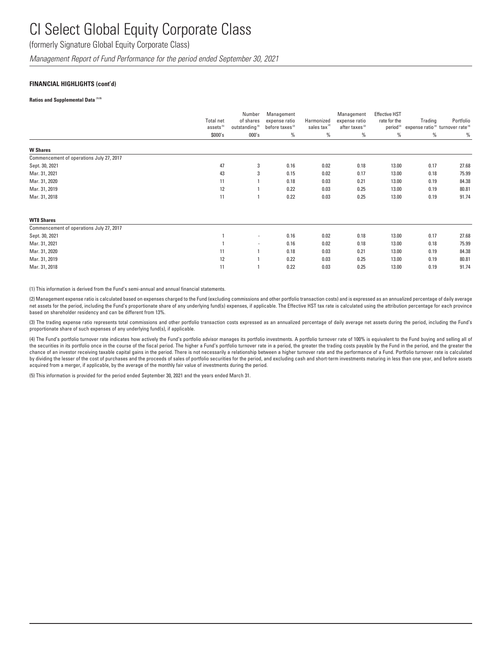(formerly Signature Global Equity Corporate Class)

*Management Report of Fund Performance for the period ended September 30, 2021*

#### **FINANCIAL HIGHLIGHTS (cont'd)**

#### **Ratios and Supplemental Data (1) (5)**

|                                          | Total net<br>assets <sup>(5)</sup><br>\$000's | Number<br>of shares<br>outstanding <sup>(5)</sup><br>000's | Management<br>expense ratio<br>before taxes <sup>(2)</sup><br>% | Harmonized<br>sales tax <sup>(2)</sup><br>% | Management<br>expense ratio<br>after taxes <sup>(2)</sup><br>$\%$ | <b>Effective HST</b><br>rate for the<br>period <sup>(2)</sup><br>% | Trading<br>expense ratio <sup>(3)</sup> turnover rate <sup>(4)</sup><br>% | Portfolio<br>% |
|------------------------------------------|-----------------------------------------------|------------------------------------------------------------|-----------------------------------------------------------------|---------------------------------------------|-------------------------------------------------------------------|--------------------------------------------------------------------|---------------------------------------------------------------------------|----------------|
| <b>W</b> Shares                          |                                               |                                                            |                                                                 |                                             |                                                                   |                                                                    |                                                                           |                |
| Commencement of operations July 27, 2017 |                                               |                                                            |                                                                 |                                             |                                                                   |                                                                    |                                                                           |                |
| Sept. 30, 2021                           | 47                                            | 3                                                          | 0.16                                                            | 0.02                                        | 0.18                                                              | 13.00                                                              | 0.17                                                                      | 27.68          |
| Mar. 31, 2021                            | 43                                            | 3                                                          | 0.15                                                            | 0.02                                        | 0.17                                                              | 13.00                                                              | 0.18                                                                      | 75.99          |
| Mar. 31, 2020                            | 11                                            |                                                            | 0.18                                                            | 0.03                                        | 0.21                                                              | 13.00                                                              | 0.19                                                                      | 84.38          |
| Mar. 31, 2019                            | 12                                            |                                                            | 0.22                                                            | 0.03                                        | 0.25                                                              | 13.00                                                              | 0.19                                                                      | 80.81          |
| Mar. 31, 2018                            | 11                                            |                                                            | 0.22                                                            | 0.03                                        | 0.25                                                              | 13.00                                                              | 0.19                                                                      | 91.74          |
| <b>WT8 Shares</b>                        |                                               |                                                            |                                                                 |                                             |                                                                   |                                                                    |                                                                           |                |
| Commencement of operations July 27, 2017 |                                               |                                                            |                                                                 |                                             |                                                                   |                                                                    |                                                                           |                |
| Sept. 30, 2021                           |                                               | $\overline{\phantom{a}}$                                   | 0.16                                                            | 0.02                                        | 0.18                                                              | 13.00                                                              | 0.17                                                                      | 27.68          |
| Mar. 31, 2021                            |                                               | $\overline{\phantom{a}}$                                   | 0.16                                                            | 0.02                                        | 0.18                                                              | 13.00                                                              | 0.18                                                                      | 75.99          |
| Mar. 31, 2020                            | 11                                            |                                                            | 0.18                                                            | 0.03                                        | 0.21                                                              | 13.00                                                              | 0.19                                                                      | 84.38          |
| Mar. 31, 2019                            | 12                                            |                                                            | 0.22                                                            | 0.03                                        | 0.25                                                              | 13.00                                                              | 0.19                                                                      | 80.81          |
| Mar. 31, 2018                            | 11                                            |                                                            | 0.22                                                            | 0.03                                        | 0.25                                                              | 13.00                                                              | 0.19                                                                      | 91.74          |

(1) This information is derived from the Fund's semi-annual and annual financial statements.

(2) Management expense ratio is calculated based on expenses charged to the Fund (excluding commissions and other portfolio transaction costs) and is expressed as an annualized percentage of daily average net assets for the period, including the Fund's proportionate share of any underlying fund(s) expenses, if applicable. The Effective HST tax rate is calculated using the attribution percentage for each province based on shareholder residency and can be different from 13%.

(3) The trading expense ratio represents total commissions and other portfolio transaction costs expressed as an annualized percentage of daily average net assets during the period, including the Fund's proportionate share of such expenses of any underlying fund(s), if applicable.

(4) The Fund's portfolio turnover rate indicates how actively the Fund's portfolio advisor manages its portfolio investments. A portfolio turnover rate of 100% is equivalent to the Fund buying and selling all of the securities in its portfolio once in the course of the fiscal period. The higher a Fund's portfolio turnover rate in a period, the greater the trading costs payable by the Fund in the period, and the greater the chance of an investor receiving taxable capital gains in the period. There is not necessarily a relationship between a higher turnover rate and the performance of a Fund. Portfolio turnover rate is calculated by dividing the lesser of the cost of purchases and the proceeds of sales of portfolio securities for the period, and excluding cash and short-term investments maturing in less than one year, and before assets acquired from a merger, if applicable, by the average of the monthly fair value of investments during the period.

(5) This information is provided for the period ended September 30, 2021 and the years ended March 31.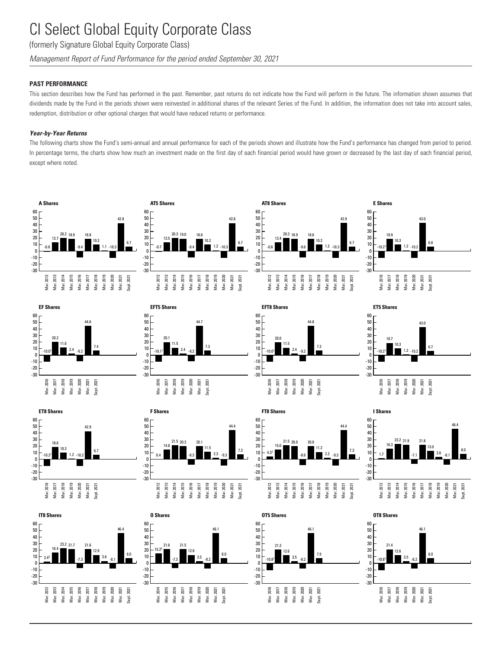(formerly Signature Global Equity Corporate Class)

*Management Report of Fund Performance for the period ended September 30, 2021*

### **PAST PERFORMANCE**

This section describes how the Fund has performed in the past. Remember, past returns do not indicate how the Fund will perform in the future. The information shown assumes that dividends made by the Fund in the periods shown were reinvested in additional shares of the relevant Series of the Fund. In addition, the information does not take into account sales, redemption, distribution or other optional charges that would have reduced returns or performance.

### *Year-by-Year Returns*

The following charts show the Fund's semi-annual and annual performance for each of the periods shown and illustrate how the Fund's performance has changed from period to period. In percentage terms, the charts show how much an investment made on the first day of each financial period would have grown or decreased by the last day of each financial period, except where noted.

































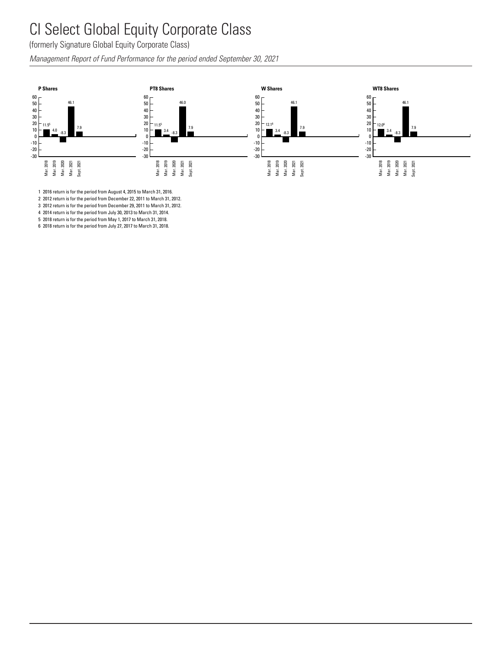#### CI Select Global Equity Corporate Class Salart - $I$ <sub>nha</sub> $I$  F ity ่ก nrata l

<sub>.</sub><br>(formerly Signature Global Equity Corporate Class)

Management Report of Fund Performance for the period ended September 30, 2021<br> Management Report of Fund Performance for the period ended Se  $\frac{1}{20}$ 



Mar. 2019 Mar. 2020 Mar. 2021 Sept. 2021 Mar. 2016 Mar. 2017 Mar. 2018

Mar. 2019 Mar. 2020 Mar. 2021 Sept. 2021

1 2016 return is for the period from August 4, 2015 to March 31, 2016.

2 2012 return is for the period from December 22, 2011 to March 31, 2012.

3 2012 return is for the period from December 29, 2011 to March 31, 2012.

4 2014 return is for the period from July 30, 2013 to March 31, 2014.

5 2018 return is for the period from May 1, 2017 to March 31, 2018.

6 2018 return is for the period from July 27, 2017 to March 31, 2018.